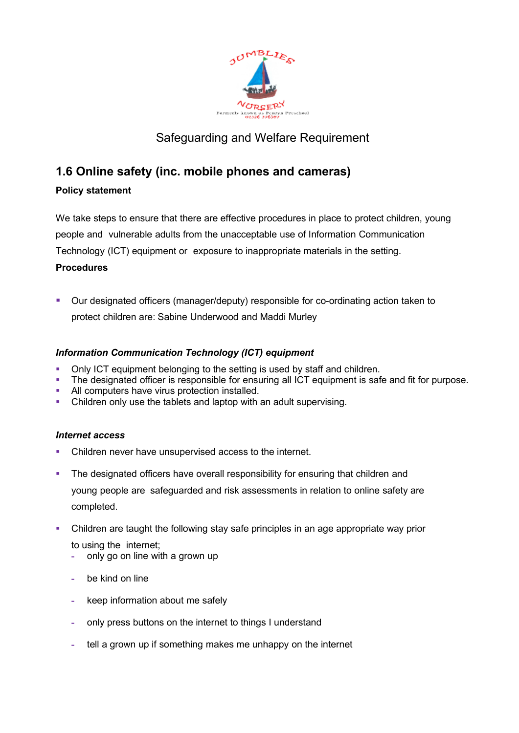

# Safeguarding and Welfare Requirement

# **1.6 Online safety (inc. mobile phones and cameras)**

## **Policy statement**

We take steps to ensure that there are effective procedures in place to protect children, young people and vulnerable adults from the unacceptable use of Information Communication Technology (ICT) equipment or exposure to inappropriate materials in the setting.

## **Procedures**

 Our designated officers (manager/deputy) responsible for co-ordinating action taken to protect children are: Sabine Underwood and Maddi Murley

# *Information Communication Technology (ICT) equipment*

- Only ICT equipment belonging to the setting is used by staff and children.
- The designated officer is responsible for ensuring all ICT equipment is safe and fit for purpose.
- All computers have virus protection installed.
- Children only use the tablets and laptop with an adult supervising.

## *Internet access*

- Children never have unsupervised access to the internet.
- The designated officers have overall responsibility for ensuring that children and young people are safeguarded and risk assessments in relation to online safety are completed.
- Children are taught the following stay safe principles in an age appropriate way prior to using the internet;
	- **-** only go on line with a grown up
	- **-** be kind on line
	- **-** keep information about me safely
	- **-** only press buttons on the internet to things I understand
	- **-** tell a grown up if something makes me unhappy on the internet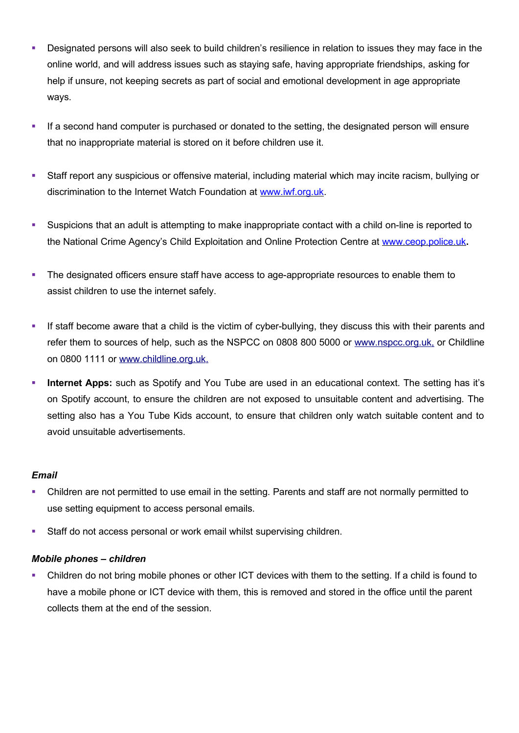- Designated persons will also seek to build children's resilience in relation to issues they may face in the online world, and will address issues such as staying safe, having appropriate friendships, asking for help if unsure, not keeping secrets as part of social and emotional development in age appropriate ways.
- If a second hand computer is purchased or donated to the setting, the designated person will ensure that no inappropriate material is stored on it before children use it.
- Staff report any suspicious or offensive material, including material which may incite racism, bullying or discrimination to the Internet Watch Foundation at [www.iwf.org.uk.](http://www.iwf.org.uk/)
- Suspicions that an adult is attempting to make inappropriate contact with a child on-line is reported to the National Crime Agency's Child Exploitation and Online Protection Centre at [www.ceop.police.uk](http://www.ceop.police.uk/)**.**
- The designated officers ensure staff have access to age-appropriate resources to enable them to assist children to use the internet safely.
- If staff become aware that a child is the victim of cyber-bullying, they discuss this with their parents and refer them to sources of help, such as the NSPCC on 0808 800 5000 or [www.nspcc.org.uk,](http://www.nspcc.org.uk/) or Childline on 0800 1111 or [www.childline.org.uk.](http://www.childline.org.uk/)
- **Internet Apps:** such as Spotify and You Tube are used in an educational context. The setting has it's on Spotify account, to ensure the children are not exposed to unsuitable content and advertising. The setting also has a You Tube Kids account, to ensure that children only watch suitable content and to avoid unsuitable advertisements.

## *Email*

- Children are not permitted to use email in the setting. Parents and staff are not normally permitted to use setting equipment to access personal emails.
- **Staff do not access personal or work email whilst supervising children.**

## *Mobile phones – children*

 Children do not bring mobile phones or other ICT devices with them to the setting. If a child is found to have a mobile phone or ICT device with them, this is removed and stored in the office until the parent collects them at the end of the session.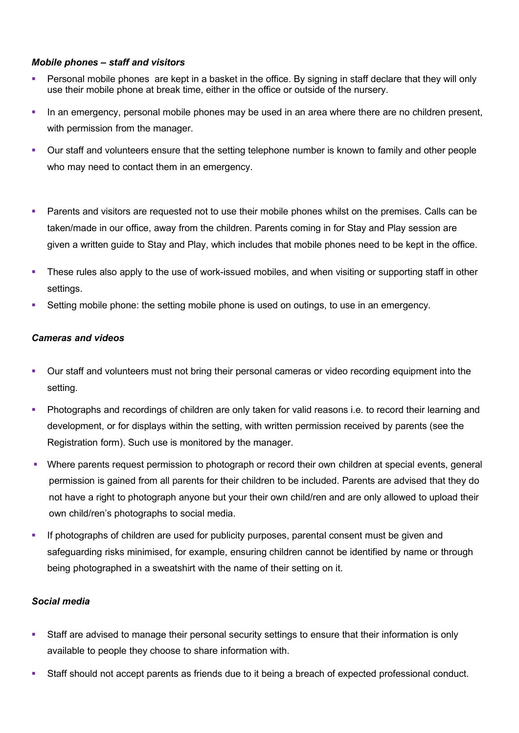#### *Mobile phones – staff and visitors*

- **Personal mobile phones are kept in a basket in the office. By signing in staff declare that they will only** use their mobile phone at break time, either in the office or outside of the nursery.
- In an emergency, personal mobile phones may be used in an area where there are no children present, with permission from the manager.
- Our staff and volunteers ensure that the setting telephone number is known to family and other people who may need to contact them in an emergency.
- **Parents and visitors are requested not to use their mobile phones whilst on the premises. Calls can be** taken/made in our office, away from the children. Parents coming in for Stay and Play session are given a written guide to Stay and Play, which includes that mobile phones need to be kept in the office.
- These rules also apply to the use of work-issued mobiles, and when visiting or supporting staff in other settings.
- Setting mobile phone: the setting mobile phone is used on outings, to use in an emergency.

## *Cameras and videos*

- Our staff and volunteers must not bring their personal cameras or video recording equipment into the setting.
- Photographs and recordings of children are only taken for valid reasons i.e. to record their learning and development, or for displays within the setting, with written permission received by parents (see the Registration form). Such use is monitored by the manager.
- Where parents request permission to photograph or record their own children at special events, general permission is gained from all parents for their children to be included. Parents are advised that they do not have a right to photograph anyone but your their own child/ren and are only allowed to upload their own child/ren's photographs to social media.
- If photographs of children are used for publicity purposes, parental consent must be given and safeguarding risks minimised, for example, ensuring children cannot be identified by name or through being photographed in a sweatshirt with the name of their setting on it.

#### *Social media*

- Staff are advised to manage their personal security settings to ensure that their information is only available to people they choose to share information with.
- Staff should not accept parents as friends due to it being a breach of expected professional conduct.